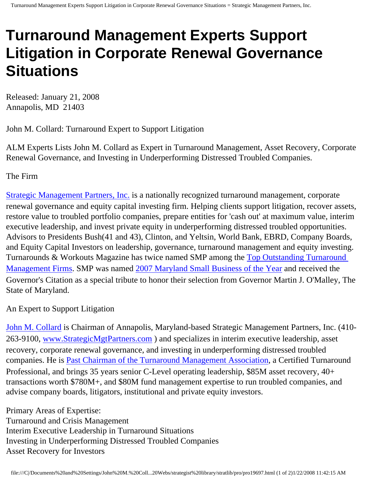## **Turnaround Management Experts Support Litigation in Corporate Renewal Governance Situations**

Released: January 21, 2008 Annapolis, MD 21403

John M. Collard: Turnaround Expert to Support Litigation

ALM Experts Lists John M. Collard as Expert in Turnaround Management, Asset Recovery, Corporate Renewal Governance, and Investing in Underperforming Distressed Troubled Companies.

The Firm

[Strategic Management Partners, Inc.](http://www.strategicmanagementpartnersinc.com/) is a nationally recognized turnaround management, corporate renewal governance and equity capital investing firm. Helping clients support litigation, recover assets, restore value to troubled portfolio companies, prepare entities for 'cash out' at maximum value, interim executive leadership, and invest private equity in underperforming distressed troubled opportunities. Advisors to Presidents Bush(41 and 43), Clinton, and Yeltsin, World Bank, EBRD, Company Boards, and Equity Capital Investors on leadership, governance, turnaround management and equity investing. Turnarounds & Workouts Magazine has twice named SMP among the [Top Outstanding Turnaround](http://members.aol.com/Strategist/twtop12.html) [Management Firms](http://members.aol.com/Strategist/twtop12.html). SMP was named [2007 Maryland Small Business of the Year](http://members.aol.com/Stratlib3/mccsbyr.html) and received the Governor's Citation as a special tribute to honor their selection from Governor Martin J. O'Malley, The State of Maryland.

An Expert to Support Litigation

[John M. Collard](http://www.turnaroundmanagement.us.com/) is Chairman of Annapolis, Maryland-based Strategic Management Partners, Inc. (410-263-9100, [www.StrategicMgtPartners.com](http://www.strategistlibrary.com/) ) and specializes in interim executive leadership, asset recovery, corporate renewal governance, and investing in underperforming distressed troubled companies. He is [Past Chairman of the Turnaround Management Association](http://members.aol.com/Strategist/pastchair.html), a Certified Turnaround Professional, and brings 35 years senior C-Level operating leadership, \$85M asset recovery, 40+ transactions worth \$780M+, and \$80M fund management expertise to run troubled companies, and advise company boards, litigators, institutional and private equity investors.

Primary Areas of Expertise: Turnaround and Crisis Management Interim Executive Leadership in Turnaround Situations Investing in Underperforming Distressed Troubled Companies Asset Recovery for Investors